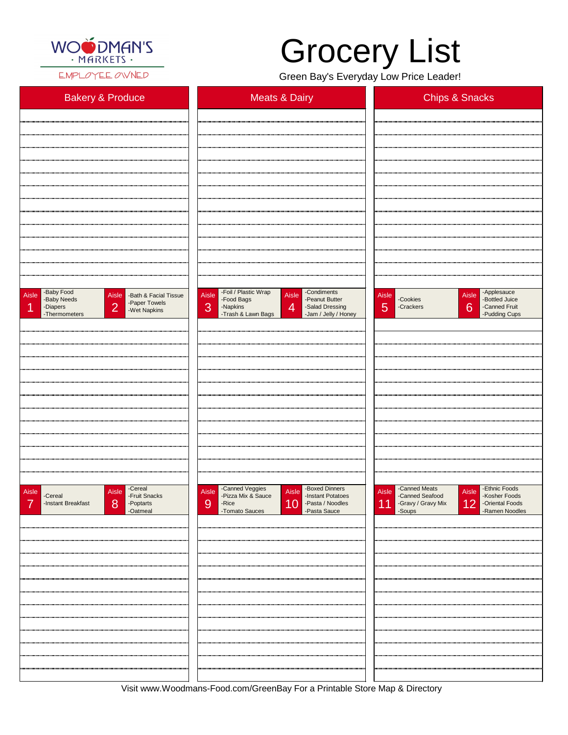

EMPLOYEE OWNED

Visit www.Woodmans-Food.com/GreenBay For a Printable Store Map & Directory

## Grocery List

Green Bay's Everyday Low Price Leader!

| <b>Bakery &amp; Produce</b>                                                                                                                    | <b>Meats &amp; Dairy</b>                                                                                                                                                                  | <b>Chips &amp; Snacks</b>                                                                                          |
|------------------------------------------------------------------------------------------------------------------------------------------------|-------------------------------------------------------------------------------------------------------------------------------------------------------------------------------------------|--------------------------------------------------------------------------------------------------------------------|
|                                                                                                                                                |                                                                                                                                                                                           |                                                                                                                    |
|                                                                                                                                                |                                                                                                                                                                                           |                                                                                                                    |
|                                                                                                                                                |                                                                                                                                                                                           |                                                                                                                    |
|                                                                                                                                                |                                                                                                                                                                                           |                                                                                                                    |
|                                                                                                                                                |                                                                                                                                                                                           |                                                                                                                    |
|                                                                                                                                                |                                                                                                                                                                                           |                                                                                                                    |
|                                                                                                                                                |                                                                                                                                                                                           |                                                                                                                    |
|                                                                                                                                                |                                                                                                                                                                                           |                                                                                                                    |
|                                                                                                                                                |                                                                                                                                                                                           |                                                                                                                    |
| -Baby Food<br>Aisle<br>Aisle<br>-Bath & Facial Tissue<br>-Baby Needs<br>-Paper Towels<br> 2 <br>1<br>-Diapers<br>-Wet Napkins<br>-Thermometers | -Foil / Plastic Wrap<br>-Condiments<br>Aisle<br>Aisle<br>-Peanut Butter<br>-Food Bags<br>3<br>$\overline{4}$<br>-Napkins<br>-Salad Dressing<br>-Trash & Lawn Bags<br>-Jam / Jelly / Honey | Aisle - Applesauce<br>Aisle<br>-Cookies<br>-Bottled Juice<br>5<br>6<br>-Canned Fruit<br>-Crackers<br>-Pudding Cups |
|                                                                                                                                                |                                                                                                                                                                                           |                                                                                                                    |
|                                                                                                                                                |                                                                                                                                                                                           |                                                                                                                    |
|                                                                                                                                                |                                                                                                                                                                                           |                                                                                                                    |
|                                                                                                                                                |                                                                                                                                                                                           |                                                                                                                    |
|                                                                                                                                                |                                                                                                                                                                                           |                                                                                                                    |
|                                                                                                                                                |                                                                                                                                                                                           |                                                                                                                    |
|                                                                                                                                                |                                                                                                                                                                                           |                                                                                                                    |
|                                                                                                                                                |                                                                                                                                                                                           |                                                                                                                    |
| -Cereal<br>-Fruit Snacks<br>Aisle<br>Aisle<br>-Cereal                                                                                          | -Canned Veggies<br>-Pizza Mix & Sauce<br>-Boxed Dinners<br>Aisle<br>Aisle<br>-Instant Potatoes                                                                                            | -Canned Meats<br>-Ethnic Foods<br>Aisle<br>Aisle<br>-Canned Seafood<br>-Kosher Foods                               |

| -Instant Breakfast<br>8 <sup>8</sup><br>-Poptarts<br>-Oatmeal | 10<br>-Pasta / Noodles<br>-Pasta Sauce<br>9<br>-Rice<br>-Tomato Sauces | -Gravy / Gravy Mix 12<br>-Oriental Foods<br>-Ramen Noodles<br>11 |
|---------------------------------------------------------------|------------------------------------------------------------------------|------------------------------------------------------------------|
|                                                               |                                                                        |                                                                  |
|                                                               |                                                                        |                                                                  |
|                                                               |                                                                        |                                                                  |
|                                                               |                                                                        |                                                                  |
|                                                               |                                                                        |                                                                  |
|                                                               |                                                                        |                                                                  |
|                                                               |                                                                        |                                                                  |
|                                                               |                                                                        |                                                                  |
|                                                               |                                                                        |                                                                  |
|                                                               |                                                                        |                                                                  |
|                                                               |                                                                        |                                                                  |